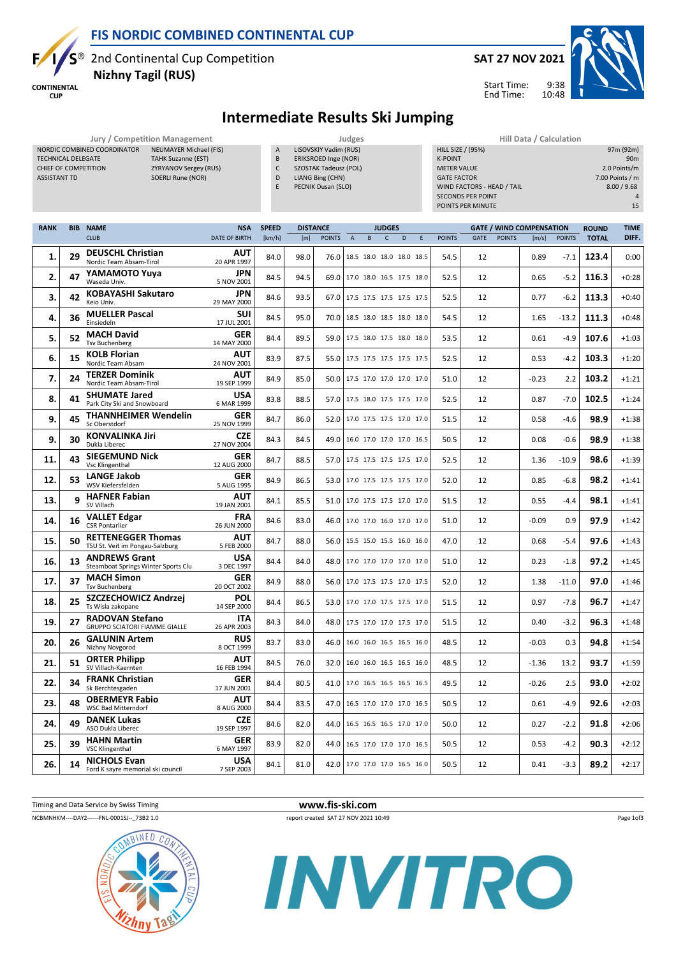

2nd Continental Cup Competition Nizhny Tagil (RUS)

NORDIC COMBINED COORDINATOR NEUMAYER Michael (FIS) TECHNICAL DELEGATE TAHK Suzanne (EST) CHIEF OF COMPETITION ZYRYANOV Sergey (RUS) ASSISTANT TD SOERLI Rune (NOR)

Е

**CONTINENTAL CUP** 



## Intermediate Results Ski Jumping

Jury / Competition Management<br>In A LISOVSKIY Vadim (RUS) DOORDINATOR NEUMAYER Michael (FIS) LISOVSKIY Vadim (RUS)

- B ERIKSROED Inge (NOR)
- C SZOSTAK Tadeusz (POL)
- D LIANG Bing (CHN)
- E PECNIK Dusan (SLO)

| Hill Data / Calculation    |                 |
|----------------------------|-----------------|
| <b>HILL SIZE / (95%)</b>   | 97m (92m)       |
| <b>K-POINT</b>             | 90 <sub>m</sub> |
| <b>METER VALUE</b>         | 2.0 Points/m    |
| <b>GATE FACTOR</b>         | 7.00 Points / m |
| WIND FACTORS - HEAD / TAIL | 8.00 / 9.68     |
| <b>SECONDS PER POINT</b>   | 4               |
| POINTS PER MINUTE          | 15              |
|                            |                 |

Start Time: End Time:

| <b>RANK</b> | <b>BIB</b> | <b>NAME</b>                                                    | <b>NSA</b>                | <b>SPEED</b> | <b>DISTANCE</b> | <b>JUDGES</b> |                |                               |              |   | <b>GATE / WIND COMPENSATION</b> |               |             |               |         | <b>ROUND</b>  | <b>TIME</b>  |         |
|-------------|------------|----------------------------------------------------------------|---------------------------|--------------|-----------------|---------------|----------------|-------------------------------|--------------|---|---------------------------------|---------------|-------------|---------------|---------|---------------|--------------|---------|
|             |            | <b>CLUB</b>                                                    | <b>DATE OF BIRTH</b>      | [km/h]       | [m]             | <b>POINTS</b> | $\overline{A}$ | <sub>B</sub>                  | $\mathsf{C}$ | D | E                               | <b>POINTS</b> | <b>GATE</b> | <b>POINTS</b> | [m/s]   | <b>POINTS</b> | <b>TOTAL</b> | DIFF.   |
| 1.          | 29         | <b>DEUSCHL Christian</b><br>Nordic Team Absam-Tirol            | AUT<br>20 APR 1997        | 84.0         | 98.0            | 76.0          |                | 18.5 18.0 18.0 18.0 18.5      |              |   |                                 | 54.5          | 12          |               | 0.89    | $-7.1$        | 123.4        | 0:00    |
| 2.          | 47         | YAMAMOTO Yuya<br>Waseda Univ.                                  | <b>JPN</b><br>5 NOV 2001  | 84.5         | 94.5            | 69.0          |                | 17.0 18.0 16.5 17.5 18.0      |              |   |                                 | 52.5          | 12          |               | 0.65    | $-5.2$        | 116.3        | $+0:28$ |
| 3.          | 42         | <b>KOBAYASHI Sakutaro</b><br>Keio Univ.                        | <b>JPN</b><br>29 MAY 2000 | 84.6         | 93.5            | 67.0          |                | 17.5 17.5 17.5 17.5 17.5      |              |   |                                 | 52.5          | 12          |               | 0.77    | $-6.2$        | 113.3        | $+0:40$ |
| 4.          | 36         | <b>MUELLER Pascal</b><br>Einsiedeln                            | <b>SUI</b><br>17 JUL 2001 | 84.5         | 95.0            | 70.0          |                | 18.5 18.0 18.5 18.0 18.0      |              |   |                                 | 54.5          | 12          |               | 1.65    | $-13.2$       | 111.3        | $+0:48$ |
| 5.          | 52         | <b>MACH David</b><br><b>Tsv Buchenberg</b>                     | <b>GER</b><br>14 MAY 2000 | 84.4         | 89.5            | 59.0          |                | 17.5 18.0 17.5 18.0 18.0      |              |   |                                 | 53.5          | 12          |               | 0.61    | $-4.9$        | 107.6        | $+1:03$ |
| 6.          | 15         | <b>KOLB Florian</b><br>Nordic Team Absam                       | <b>AUT</b><br>24 NOV 2001 | 83.9         | 87.5            | 55.0          |                | 17.5 17.5 17.5 17.5 17.5      |              |   |                                 | 52.5          | 12          |               | 0.53    | $-4.2$        | 103.3        | $+1:20$ |
| 7.          | 24         | <b>TERZER Dominik</b><br>Nordic Team Absam-Tirol               | <b>AUT</b><br>19 SEP 1999 | 84.9         | 85.0            | 50.0          |                | 17.5 17.0 17.0 17.0 17.0      |              |   |                                 | 51.0          | 12          |               | $-0.23$ | 2.2           | 103.2        | $+1:21$ |
| 8.          | 41         | <b>SHUMATE Jared</b><br>Park City Ski and Snowboard            | <b>USA</b><br>6 MAR 1999  | 83.8         | 88.5            | 57.0          |                | 17.5 18.0 17.5 17.5 17.0      |              |   |                                 | 52.5          | 12          |               | 0.87    | $-7.0$        | 102.5        | $+1:24$ |
| 9.          | 45         | <b>THANNHEIMER Wendelin</b><br>Sc Oberstdorf                   | <b>GER</b><br>25 NOV 1999 | 84.7         | 86.0            | 52.0          |                | 17.0 17.5 17.5 17.0 17.0      |              |   |                                 | 51.5          | 12          |               | 0.58    | $-4.6$        | 98.9         | $+1:38$ |
| 9.          | 30         | <b>KONVALINKA Jiri</b><br>Dukla Liberec                        | <b>CZE</b><br>27 NOV 2004 | 84.3         | 84.5            | 49.0          |                | 16.0 17.0 17.0 17.0 16.5      |              |   |                                 | 50.5          | 12          |               | 0.08    | $-0.6$        | 98.9         | $+1:38$ |
| 11.         | 43         | <b>SIEGEMUND Nick</b><br><b>Vsc Klingenthal</b>                | <b>GER</b><br>12 AUG 2000 | 84.7         | 88.5            | 57.0          |                | 17.5 17.5 17.5 17.5 17.0      |              |   |                                 | 52.5          | 12          |               | 1.36    | $-10.9$       | 98.6         | $+1:39$ |
| 12.         | 53         | <b>LANGE Jakob</b><br>WSV Kiefersfelden                        | <b>GER</b><br>5 AUG 1995  | 84.9         | 86.5            | 53.0          |                | 17.0 17.5 17.5 17.5 17.0      |              |   |                                 | 52.0          | 12          |               | 0.85    | $-6.8$        | 98.2         | $+1:41$ |
| 13.         | q          | <b>HAFNER Fabian</b><br>SV Villach                             | <b>AUT</b><br>19 JAN 2001 | 84.1         | 85.5            | 51.0          |                | 17.0 17.5 17.5 17.0 17.0      |              |   |                                 | 51.5          | 12          |               | 0.55    | $-4.4$        | 98.1         | $+1:41$ |
| 14.         | 16         | <b>VALLET Edgar</b><br><b>CSR Pontarlier</b>                   | <b>FRA</b><br>26 JUN 2000 | 84.6         | 83.0            | 46.0          |                | 17.0 17.0 16.0 17.0 17.0      |              |   |                                 | 51.0          | 12          |               | $-0.09$ | 0.9           | 97.9         | $+1:42$ |
| 15.         | 50         | <b>RETTENEGGER Thomas</b><br>TSU St. Veit im Pongau-Salzburg   | <b>AUT</b><br>5 FEB 2000  | 84.7         | 88.0            | 56.0          |                | 15.5 15.0 15.5 16.0 16.0      |              |   |                                 | 47.0          | 12          |               | 0.68    | $-5.4$        | 97.6         | $+1:43$ |
| 16.         | 13         | <b>ANDREWS Grant</b><br>Steamboat Springs Winter Sports Clu    | <b>USA</b><br>3 DEC 1997  | 84.4         | 84.0            | 48.0          |                | 17.0 17.0 17.0 17.0 17.0      |              |   |                                 | 51.0          | 12          |               | 0.23    | $-1.8$        | 97.2         | $+1:45$ |
| 17.         | 37         | <b>MACH Simon</b><br><b>Tsv Buchenberg</b>                     | <b>GER</b><br>20 OCT 2002 | 84.9         | 88.0            | 56.0          |                | 17.0 17.5 17.5 17.0 17.5      |              |   |                                 | 52.0          | 12          |               | 1.38    | $-11.0$       | 97.0         | $+1:46$ |
| 18.         | 25         | SZCZECHOWICZ Andrzej<br>Ts Wisla zakopane                      | POL<br>14 SEP 2000        | 84.4         | 86.5            |               |                | 53.0 17.0 17.0 17.5 17.5 17.0 |              |   |                                 | 51.5          | 12          |               | 0.97    | $-7.8$        | 96.7         | $+1:47$ |
| 19.         | 27         | <b>RADOVAN Stefano</b><br><b>GRUPPO SCIATORI FIAMME GIALLE</b> | <b>ITA</b><br>26 APR 2003 | 84.3         | 84.0            | 48.0          |                | 17.5 17.0 17.0 17.5 17.0      |              |   |                                 | 51.5          | 12          |               | 0.40    | $-3.2$        | 96.3         | $+1:48$ |
| 20.         | 26         | <b>GALUNIN Artem</b><br>Nizhny Novgorod                        | <b>RUS</b><br>8 OCT 1999  | 83.7         | 83.0            | 46.0          |                | 16.0 16.0 16.5 16.5 16.0      |              |   |                                 | 48.5          | 12          |               | $-0.03$ | 0.3           | 94.8         | $+1:54$ |
| 21.         | 51         | <b>ORTER Philipp</b><br>SV Villach-Kaernten                    | <b>AUT</b><br>16 FEB 1994 | 84.5         | 76.0            | 32.0          |                | 16.0 16.0 16.5 16.5 16.0      |              |   |                                 | 48.5          | 12          |               | $-1.36$ | 13.2          | 93.7         | $+1:59$ |
| 22.         | 34         | <b>FRANK Christian</b><br>Sk Berchtesgaden                     | <b>GER</b><br>17 JUN 2001 | 84.4         | 80.5            | 41.0          |                | 17.0 16.5 16.5 16.5 16.5      |              |   |                                 | 49.5          | 12          |               | -0.26   | 2.5           | 93.0         | $+2:02$ |
| 23.         | 48         | <b>OBERMEYR Fabio</b><br><b>WSC Bad Mitterndorf</b>            | <b>AUT</b><br>8 AUG 2000  | 84.4         | 83.5            | 47.0          |                | 16.5 17.0 17.0 17.0 16.5      |              |   |                                 | 50.5          | 12          |               | 0.61    | $-4.9$        | 92.6         | $+2:03$ |
| 24.         | 49         | <b>DANEK Lukas</b><br>ASO Dukla Liberec                        | <b>CZE</b><br>19 SEP 1997 | 84.6         | 82.0            | 44.0          |                | 16.5 16.5 16.5 17.0 17.0      |              |   |                                 | 50.0          | 12          |               | 0.27    | $-2.2$        | 91.8         | $+2:06$ |
| 25.         | 39         | <b>HAHN Martin</b><br><b>VSC Klingenthal</b>                   | <b>GER</b><br>6 MAY 1997  | 83.9         | 82.0            | 44.0          |                | 16.5 17.0 17.0 17.0 16.5      |              |   |                                 | 50.5          | 12          |               | 0.53    | $-4.2$        | 90.3         | $+2:12$ |
| 26.         | 14         | <b>NICHOLS Evan</b><br>Ford K sayre memorial ski council       | USA<br>7 SEP 2003         | 84.1         | 81.0            |               |                | 42.0 17.0 17.0 17.0 16.5 16.0 |              |   |                                 | 50.5          | 12          |               | 0.41    | $-3.3$        | 89.2         | $+2:17$ |



### Timing and Data Service by Swiss Timing **www.fis-ski.com**

Page 1of3



INVITRO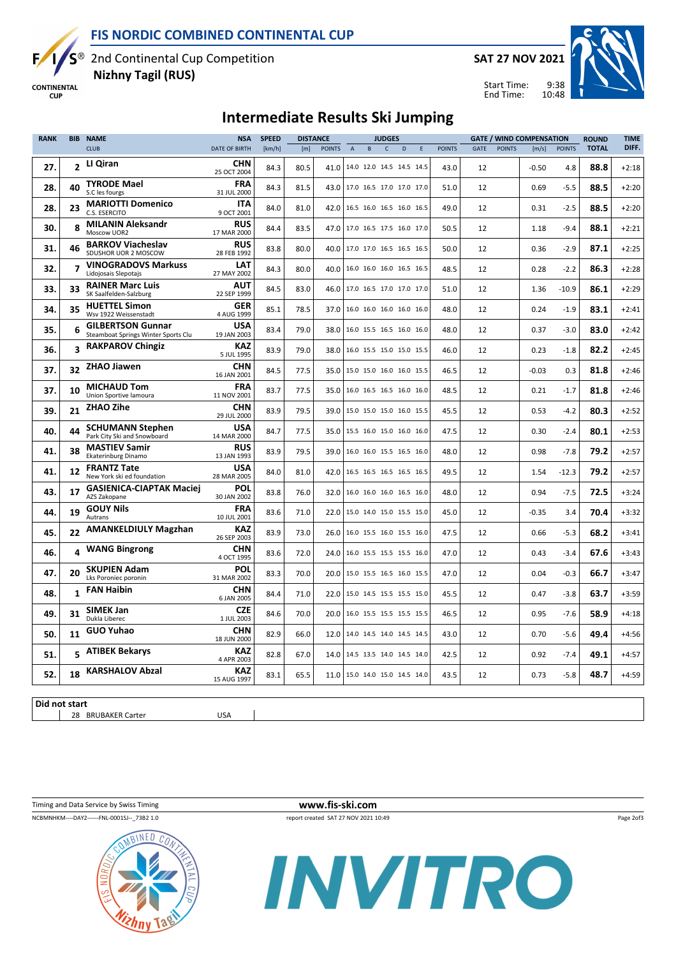



2nd Continental Cup Competition Nizhny Tagil (RUS)

**CONTINENTAL CUP** 



Start Time: End Time:

9:38 10:48



## Intermediate Results Ski Jumping

| <b>CLUB</b><br>DATE OF BIRTH<br>$\mathsf{C}$<br><b>POINTS</b><br><b>POINTS</b><br>[km/h]<br><b>POINTS</b><br>E<br><b>POINTS</b><br><b>GATE</b><br>[m/s]<br>[m]<br>$\overline{A}$<br>B.<br>$\mathsf{D}$<br><b>CHN</b><br>2 LI Qiran<br>27.<br>80.5<br>14.0 12.0 14.5 14.5 14.5<br>43.0<br>4.8<br>84.3<br>41.0<br>12<br>$-0.50$<br>25 OCT 2004<br><b>TYRODE Mael</b><br><b>FRA</b><br>40<br>28.<br>84.3<br>81.5<br>12<br>0.69<br>$-5.5$<br>43.0 17.0 16.5 17.0 17.0 17.0<br>51.0<br>S.C les fourgs<br>31 JUL 2000<br><b>MARIOTTI Domenico</b><br><b>ITA</b><br>23<br>28.<br>84.0<br>81.0<br>49.0<br>12<br>0.31<br>$-2.5$<br>42.0<br>16.5 16.0 16.5 16.0 16.5<br>C.S. ESERCITO<br>9 OCT 2001<br><b>RUS</b><br><b>MILANIN Aleksandr</b><br>30.<br>8<br>84.4<br>83.5<br>47.0<br>17.0 16.5 17.5 16.0 17.0<br>50.5<br>12<br>1.18<br>$-9.4$<br>Moscow UOR2<br>17 MAR 2000<br><b>BARKOV Viacheslav</b><br><b>RUS</b><br>31.<br>46<br>83.8<br>80.0<br>50.0<br>12<br>$-2.9$<br>40.0 17.0 17.0 16.5 16.5 16.5<br>0.36<br>SDUSHOR UOR 2 MOSCOW<br>28 FEB 1992<br><b>VINOGRADOVS Markuss</b><br>LAT<br>$\overline{\mathbf{z}}$<br>32.<br>80.0<br>16.0 16.0 16.0 16.5 16.5<br>48.5<br>12<br>0.28<br>$-2.2$<br>84.3<br>40.0<br>Lidojosais Slepotajs<br>27 MAY 2002<br><b>AUT</b><br><b>RAINER Marc Luis</b><br>33.<br>33<br>83.0<br>46.0   17.0 16.5 17.0 17.0 17.0<br>$-10.9$<br>84.5<br>51.0<br>12<br>1.36<br>SK Saalfelden-Salzburg<br>22 SEP 1999<br><b>HUETTEL Simon</b><br><b>GER</b><br>35<br>34.<br>85.1<br>78.5<br>48.0<br>$-1.9$<br>37.0<br>16.0 16.0 16.0 16.0 16.0<br>12<br>0.24<br>Wsv 1922 Weissenstadt<br>4 AUG 1999<br><b>GILBERTSON Gunnar</b><br><b>USA</b><br>6<br>35.<br>79.0<br>16.0 15.5 16.5 16.0 16.0<br>$-3.0$<br>83.4<br>38.0<br>48.0<br>12<br>0.37<br>Steamboat Springs Winter Sports Clu<br>19 JAN 2003<br><b>RAKPAROV Chingiz</b><br><b>KAZ</b><br>$\overline{\mathbf{a}}$<br>36.<br>83.9<br>79.0<br>12<br>0.23<br>$-1.8$<br>38.0<br>16.0 15.5 15.0 15.0 15.5<br>46.0<br>5 JUL 1995<br><b>CHN</b><br><b>ZHAO Jiawen</b><br>37.<br>32<br>77.5<br>46.5<br>$-0.03$<br>0.3<br>84.5<br>35.0<br>15.0 15.0 16.0 16.0 15.5<br>12<br>16 JAN 2001<br><b>MICHAUD Tom</b><br><b>FRA</b><br>37.<br>10<br>$-1.7$<br>83.7<br>77.5<br>16.0 16.5 16.5 16.0 16.0<br>48.5<br>12<br>35.0<br>0.21<br>Union Sportive lamoura<br>11 NOV 2001<br><b>ZHAO Zihe</b><br><b>CHN</b><br>39.<br>21<br>83.9<br>79.5<br>45.5<br>12<br>0.53<br>$-4.2$<br>39.0<br>15.0 15.0 15.0 16.0 15.5<br>29 JUL 2000<br><b>USA</b><br><b>SCHUMANN Stephen</b><br>40.<br>44<br>77.5<br>47.5<br>12<br>0.30<br>$-2.4$<br>84.7<br>35.0<br>15.5 16.0 15.0 16.0 16.0<br>Park City Ski and Snowboard<br>14 MAR 2000<br><b>RUS</b><br><b>MASTIEV Samir</b><br>38<br>41.<br>83.9<br>79.5<br>16.0 16.0 15.5 16.5 16.0<br>48.0<br>12<br>0.98<br>$-7.8$<br>39.0<br>Ekaterinburg Dinamo<br>13 JAN 1993<br><b>FRANTZ Tate</b><br>USA<br>12<br>41.<br>84.0<br>81.0<br>12<br>$-12.3$<br>42.0<br>16.5 16.5 16.5 16.5 16.5<br>49.5<br>1.54<br>New York ski ed foundation<br>28 MAR 2005<br><b>GASIENICA-CIAPTAK Maciej</b><br><b>POL</b><br>43.<br>17<br>76.0<br>12<br>0.94<br>$-7.5$<br>83.8<br>32.0<br>16.0 16.0 16.0 16.5 16.0<br>48.0<br>30 JAN 2002<br>AZS Zakopane<br><b>FRA</b><br><b>GOUY Nils</b><br>19<br>44.<br>15.0 14.0 15.0 15.5 15.0<br>3.4<br>83.6<br>71.0<br>22.0<br>45.0<br>12<br>$-0.35$<br>10 JUL 2001<br>Autrans<br><b>AMANKELDIULY Magzhan</b><br><b>KAZ</b><br>45.<br>22<br>83.9<br>73.0<br>47.5<br>$-5.3$<br>26.0<br>16.0 15.5 16.0 15.5 16.0<br>12<br>0.66<br>26 SEP 2003<br><b>CHN</b><br><b>WANG Bingrong</b><br>4<br>46.<br>72.0<br>16.0 15.5 15.5 15.5 16.0<br>12<br>83.6<br>24.0<br>47.0<br>0.43<br>$-3.4$<br>4 OCT 1995<br><b>SKUPIEN Adam</b><br><b>POL</b><br>47.<br>20<br>83.3<br>70.0<br>12<br>0.04<br>$-0.3$<br>20.0<br>47.0<br>15.0 15.5 16.5 16.0 15.5<br>Lks Poroniec poronin<br>31 MAR 2002<br><b>CHN</b><br><b>FAN Haibin</b><br>48.<br>1<br>71.0<br>45.5<br>12<br>0.47<br>$-3.8$<br>84.4<br>22.0<br>15.0 14.5 15.5 15.5 15.0<br>6 JAN 2005<br><b>SIMEK Jan</b><br><b>CZE</b><br>49.<br>31<br>70.0<br>84.6<br>16.0 15.5 15.5 15.5 15.5<br>46.5<br>12<br>0.95<br>$-7.6$<br>20.0<br>Dukla Liberec<br>1 JUL 2003 | <b>TIME</b> | <b>ROUND</b> | <b>GATE / WIND COMPENSATION</b> |  |  | <b>JUDGES</b> |  |  |  |  | <b>DISTANCE</b> |  | <b>NSA</b> | <b>BIB NAME</b> | <b>RANK</b>      |  |
|------------------------------------------------------------------------------------------------------------------------------------------------------------------------------------------------------------------------------------------------------------------------------------------------------------------------------------------------------------------------------------------------------------------------------------------------------------------------------------------------------------------------------------------------------------------------------------------------------------------------------------------------------------------------------------------------------------------------------------------------------------------------------------------------------------------------------------------------------------------------------------------------------------------------------------------------------------------------------------------------------------------------------------------------------------------------------------------------------------------------------------------------------------------------------------------------------------------------------------------------------------------------------------------------------------------------------------------------------------------------------------------------------------------------------------------------------------------------------------------------------------------------------------------------------------------------------------------------------------------------------------------------------------------------------------------------------------------------------------------------------------------------------------------------------------------------------------------------------------------------------------------------------------------------------------------------------------------------------------------------------------------------------------------------------------------------------------------------------------------------------------------------------------------------------------------------------------------------------------------------------------------------------------------------------------------------------------------------------------------------------------------------------------------------------------------------------------------------------------------------------------------------------------------------------------------------------------------------------------------------------------------------------------------------------------------------------------------------------------------------------------------------------------------------------------------------------------------------------------------------------------------------------------------------------------------------------------------------------------------------------------------------------------------------------------------------------------------------------------------------------------------------------------------------------------------------------------------------------------------------------------------------------------------------------------------------------------------------------------------------------------------------------------------------------------------------------------------------------------------------------------------------------------------------------------------------------------------------------------------------------------------------------------------------------------------------------------------------------------------------------------------------------------------------------------------------------------------------------------------------------------------------------------------------------------------------------------------------------------------------------------------------------------------------------------------------------------------------------------------------------------------------------------------------------------------------------|-------------|--------------|---------------------------------|--|--|---------------|--|--|--|--|-----------------|--|------------|-----------------|------------------|--|
|                                                                                                                                                                                                                                                                                                                                                                                                                                                                                                                                                                                                                                                                                                                                                                                                                                                                                                                                                                                                                                                                                                                                                                                                                                                                                                                                                                                                                                                                                                                                                                                                                                                                                                                                                                                                                                                                                                                                                                                                                                                                                                                                                                                                                                                                                                                                                                                                                                                                                                                                                                                                                                                                                                                                                                                                                                                                                                                                                                                                                                                                                                                                                                                                                                                                                                                                                                                                                                                                                                                                                                                                                                                                                                                                                                                                                                                                                                                                                                                                                                                                                                                                                                                                      | DIFF.       | <b>TOTAL</b> |                                 |  |  |               |  |  |  |  |                 |  |            |                 |                  |  |
|                                                                                                                                                                                                                                                                                                                                                                                                                                                                                                                                                                                                                                                                                                                                                                                                                                                                                                                                                                                                                                                                                                                                                                                                                                                                                                                                                                                                                                                                                                                                                                                                                                                                                                                                                                                                                                                                                                                                                                                                                                                                                                                                                                                                                                                                                                                                                                                                                                                                                                                                                                                                                                                                                                                                                                                                                                                                                                                                                                                                                                                                                                                                                                                                                                                                                                                                                                                                                                                                                                                                                                                                                                                                                                                                                                                                                                                                                                                                                                                                                                                                                                                                                                                                      | $+2:18$     | 88.8         |                                 |  |  |               |  |  |  |  |                 |  |            |                 |                  |  |
|                                                                                                                                                                                                                                                                                                                                                                                                                                                                                                                                                                                                                                                                                                                                                                                                                                                                                                                                                                                                                                                                                                                                                                                                                                                                                                                                                                                                                                                                                                                                                                                                                                                                                                                                                                                                                                                                                                                                                                                                                                                                                                                                                                                                                                                                                                                                                                                                                                                                                                                                                                                                                                                                                                                                                                                                                                                                                                                                                                                                                                                                                                                                                                                                                                                                                                                                                                                                                                                                                                                                                                                                                                                                                                                                                                                                                                                                                                                                                                                                                                                                                                                                                                                                      | $+2:20$     | 88.5         |                                 |  |  |               |  |  |  |  |                 |  |            |                 |                  |  |
|                                                                                                                                                                                                                                                                                                                                                                                                                                                                                                                                                                                                                                                                                                                                                                                                                                                                                                                                                                                                                                                                                                                                                                                                                                                                                                                                                                                                                                                                                                                                                                                                                                                                                                                                                                                                                                                                                                                                                                                                                                                                                                                                                                                                                                                                                                                                                                                                                                                                                                                                                                                                                                                                                                                                                                                                                                                                                                                                                                                                                                                                                                                                                                                                                                                                                                                                                                                                                                                                                                                                                                                                                                                                                                                                                                                                                                                                                                                                                                                                                                                                                                                                                                                                      | $+2:20$     | 88.5         |                                 |  |  |               |  |  |  |  |                 |  |            |                 |                  |  |
|                                                                                                                                                                                                                                                                                                                                                                                                                                                                                                                                                                                                                                                                                                                                                                                                                                                                                                                                                                                                                                                                                                                                                                                                                                                                                                                                                                                                                                                                                                                                                                                                                                                                                                                                                                                                                                                                                                                                                                                                                                                                                                                                                                                                                                                                                                                                                                                                                                                                                                                                                                                                                                                                                                                                                                                                                                                                                                                                                                                                                                                                                                                                                                                                                                                                                                                                                                                                                                                                                                                                                                                                                                                                                                                                                                                                                                                                                                                                                                                                                                                                                                                                                                                                      | $+2:21$     | 88.1         |                                 |  |  |               |  |  |  |  |                 |  |            |                 |                  |  |
|                                                                                                                                                                                                                                                                                                                                                                                                                                                                                                                                                                                                                                                                                                                                                                                                                                                                                                                                                                                                                                                                                                                                                                                                                                                                                                                                                                                                                                                                                                                                                                                                                                                                                                                                                                                                                                                                                                                                                                                                                                                                                                                                                                                                                                                                                                                                                                                                                                                                                                                                                                                                                                                                                                                                                                                                                                                                                                                                                                                                                                                                                                                                                                                                                                                                                                                                                                                                                                                                                                                                                                                                                                                                                                                                                                                                                                                                                                                                                                                                                                                                                                                                                                                                      | $+2:25$     | 87.1         |                                 |  |  |               |  |  |  |  |                 |  |            |                 |                  |  |
|                                                                                                                                                                                                                                                                                                                                                                                                                                                                                                                                                                                                                                                                                                                                                                                                                                                                                                                                                                                                                                                                                                                                                                                                                                                                                                                                                                                                                                                                                                                                                                                                                                                                                                                                                                                                                                                                                                                                                                                                                                                                                                                                                                                                                                                                                                                                                                                                                                                                                                                                                                                                                                                                                                                                                                                                                                                                                                                                                                                                                                                                                                                                                                                                                                                                                                                                                                                                                                                                                                                                                                                                                                                                                                                                                                                                                                                                                                                                                                                                                                                                                                                                                                                                      | $+2:28$     | 86.3         |                                 |  |  |               |  |  |  |  |                 |  |            |                 |                  |  |
|                                                                                                                                                                                                                                                                                                                                                                                                                                                                                                                                                                                                                                                                                                                                                                                                                                                                                                                                                                                                                                                                                                                                                                                                                                                                                                                                                                                                                                                                                                                                                                                                                                                                                                                                                                                                                                                                                                                                                                                                                                                                                                                                                                                                                                                                                                                                                                                                                                                                                                                                                                                                                                                                                                                                                                                                                                                                                                                                                                                                                                                                                                                                                                                                                                                                                                                                                                                                                                                                                                                                                                                                                                                                                                                                                                                                                                                                                                                                                                                                                                                                                                                                                                                                      | $+2:29$     | 86.1         |                                 |  |  |               |  |  |  |  |                 |  |            |                 |                  |  |
|                                                                                                                                                                                                                                                                                                                                                                                                                                                                                                                                                                                                                                                                                                                                                                                                                                                                                                                                                                                                                                                                                                                                                                                                                                                                                                                                                                                                                                                                                                                                                                                                                                                                                                                                                                                                                                                                                                                                                                                                                                                                                                                                                                                                                                                                                                                                                                                                                                                                                                                                                                                                                                                                                                                                                                                                                                                                                                                                                                                                                                                                                                                                                                                                                                                                                                                                                                                                                                                                                                                                                                                                                                                                                                                                                                                                                                                                                                                                                                                                                                                                                                                                                                                                      | $+2:41$     | 83.1         |                                 |  |  |               |  |  |  |  |                 |  |            |                 |                  |  |
|                                                                                                                                                                                                                                                                                                                                                                                                                                                                                                                                                                                                                                                                                                                                                                                                                                                                                                                                                                                                                                                                                                                                                                                                                                                                                                                                                                                                                                                                                                                                                                                                                                                                                                                                                                                                                                                                                                                                                                                                                                                                                                                                                                                                                                                                                                                                                                                                                                                                                                                                                                                                                                                                                                                                                                                                                                                                                                                                                                                                                                                                                                                                                                                                                                                                                                                                                                                                                                                                                                                                                                                                                                                                                                                                                                                                                                                                                                                                                                                                                                                                                                                                                                                                      | $+2:42$     | 83.0         |                                 |  |  |               |  |  |  |  |                 |  |            |                 |                  |  |
|                                                                                                                                                                                                                                                                                                                                                                                                                                                                                                                                                                                                                                                                                                                                                                                                                                                                                                                                                                                                                                                                                                                                                                                                                                                                                                                                                                                                                                                                                                                                                                                                                                                                                                                                                                                                                                                                                                                                                                                                                                                                                                                                                                                                                                                                                                                                                                                                                                                                                                                                                                                                                                                                                                                                                                                                                                                                                                                                                                                                                                                                                                                                                                                                                                                                                                                                                                                                                                                                                                                                                                                                                                                                                                                                                                                                                                                                                                                                                                                                                                                                                                                                                                                                      | $+2:45$     | 82.2         |                                 |  |  |               |  |  |  |  |                 |  |            |                 |                  |  |
|                                                                                                                                                                                                                                                                                                                                                                                                                                                                                                                                                                                                                                                                                                                                                                                                                                                                                                                                                                                                                                                                                                                                                                                                                                                                                                                                                                                                                                                                                                                                                                                                                                                                                                                                                                                                                                                                                                                                                                                                                                                                                                                                                                                                                                                                                                                                                                                                                                                                                                                                                                                                                                                                                                                                                                                                                                                                                                                                                                                                                                                                                                                                                                                                                                                                                                                                                                                                                                                                                                                                                                                                                                                                                                                                                                                                                                                                                                                                                                                                                                                                                                                                                                                                      | $+2:46$     | 81.8         |                                 |  |  |               |  |  |  |  |                 |  |            |                 |                  |  |
|                                                                                                                                                                                                                                                                                                                                                                                                                                                                                                                                                                                                                                                                                                                                                                                                                                                                                                                                                                                                                                                                                                                                                                                                                                                                                                                                                                                                                                                                                                                                                                                                                                                                                                                                                                                                                                                                                                                                                                                                                                                                                                                                                                                                                                                                                                                                                                                                                                                                                                                                                                                                                                                                                                                                                                                                                                                                                                                                                                                                                                                                                                                                                                                                                                                                                                                                                                                                                                                                                                                                                                                                                                                                                                                                                                                                                                                                                                                                                                                                                                                                                                                                                                                                      | $+2:46$     | 81.8         |                                 |  |  |               |  |  |  |  |                 |  |            |                 |                  |  |
|                                                                                                                                                                                                                                                                                                                                                                                                                                                                                                                                                                                                                                                                                                                                                                                                                                                                                                                                                                                                                                                                                                                                                                                                                                                                                                                                                                                                                                                                                                                                                                                                                                                                                                                                                                                                                                                                                                                                                                                                                                                                                                                                                                                                                                                                                                                                                                                                                                                                                                                                                                                                                                                                                                                                                                                                                                                                                                                                                                                                                                                                                                                                                                                                                                                                                                                                                                                                                                                                                                                                                                                                                                                                                                                                                                                                                                                                                                                                                                                                                                                                                                                                                                                                      | $+2:52$     | 80.3         |                                 |  |  |               |  |  |  |  |                 |  |            |                 |                  |  |
|                                                                                                                                                                                                                                                                                                                                                                                                                                                                                                                                                                                                                                                                                                                                                                                                                                                                                                                                                                                                                                                                                                                                                                                                                                                                                                                                                                                                                                                                                                                                                                                                                                                                                                                                                                                                                                                                                                                                                                                                                                                                                                                                                                                                                                                                                                                                                                                                                                                                                                                                                                                                                                                                                                                                                                                                                                                                                                                                                                                                                                                                                                                                                                                                                                                                                                                                                                                                                                                                                                                                                                                                                                                                                                                                                                                                                                                                                                                                                                                                                                                                                                                                                                                                      | $+2:53$     | 80.1         |                                 |  |  |               |  |  |  |  |                 |  |            |                 |                  |  |
|                                                                                                                                                                                                                                                                                                                                                                                                                                                                                                                                                                                                                                                                                                                                                                                                                                                                                                                                                                                                                                                                                                                                                                                                                                                                                                                                                                                                                                                                                                                                                                                                                                                                                                                                                                                                                                                                                                                                                                                                                                                                                                                                                                                                                                                                                                                                                                                                                                                                                                                                                                                                                                                                                                                                                                                                                                                                                                                                                                                                                                                                                                                                                                                                                                                                                                                                                                                                                                                                                                                                                                                                                                                                                                                                                                                                                                                                                                                                                                                                                                                                                                                                                                                                      | $+2:57$     | 79.2         |                                 |  |  |               |  |  |  |  |                 |  |            |                 |                  |  |
|                                                                                                                                                                                                                                                                                                                                                                                                                                                                                                                                                                                                                                                                                                                                                                                                                                                                                                                                                                                                                                                                                                                                                                                                                                                                                                                                                                                                                                                                                                                                                                                                                                                                                                                                                                                                                                                                                                                                                                                                                                                                                                                                                                                                                                                                                                                                                                                                                                                                                                                                                                                                                                                                                                                                                                                                                                                                                                                                                                                                                                                                                                                                                                                                                                                                                                                                                                                                                                                                                                                                                                                                                                                                                                                                                                                                                                                                                                                                                                                                                                                                                                                                                                                                      | $+2:57$     | 79.2         |                                 |  |  |               |  |  |  |  |                 |  |            |                 |                  |  |
|                                                                                                                                                                                                                                                                                                                                                                                                                                                                                                                                                                                                                                                                                                                                                                                                                                                                                                                                                                                                                                                                                                                                                                                                                                                                                                                                                                                                                                                                                                                                                                                                                                                                                                                                                                                                                                                                                                                                                                                                                                                                                                                                                                                                                                                                                                                                                                                                                                                                                                                                                                                                                                                                                                                                                                                                                                                                                                                                                                                                                                                                                                                                                                                                                                                                                                                                                                                                                                                                                                                                                                                                                                                                                                                                                                                                                                                                                                                                                                                                                                                                                                                                                                                                      | $+3:24$     | 72.5         |                                 |  |  |               |  |  |  |  |                 |  |            |                 |                  |  |
|                                                                                                                                                                                                                                                                                                                                                                                                                                                                                                                                                                                                                                                                                                                                                                                                                                                                                                                                                                                                                                                                                                                                                                                                                                                                                                                                                                                                                                                                                                                                                                                                                                                                                                                                                                                                                                                                                                                                                                                                                                                                                                                                                                                                                                                                                                                                                                                                                                                                                                                                                                                                                                                                                                                                                                                                                                                                                                                                                                                                                                                                                                                                                                                                                                                                                                                                                                                                                                                                                                                                                                                                                                                                                                                                                                                                                                                                                                                                                                                                                                                                                                                                                                                                      | $+3:32$     | 70.4         |                                 |  |  |               |  |  |  |  |                 |  |            |                 |                  |  |
|                                                                                                                                                                                                                                                                                                                                                                                                                                                                                                                                                                                                                                                                                                                                                                                                                                                                                                                                                                                                                                                                                                                                                                                                                                                                                                                                                                                                                                                                                                                                                                                                                                                                                                                                                                                                                                                                                                                                                                                                                                                                                                                                                                                                                                                                                                                                                                                                                                                                                                                                                                                                                                                                                                                                                                                                                                                                                                                                                                                                                                                                                                                                                                                                                                                                                                                                                                                                                                                                                                                                                                                                                                                                                                                                                                                                                                                                                                                                                                                                                                                                                                                                                                                                      | $+3:41$     | 68.2         |                                 |  |  |               |  |  |  |  |                 |  |            |                 |                  |  |
|                                                                                                                                                                                                                                                                                                                                                                                                                                                                                                                                                                                                                                                                                                                                                                                                                                                                                                                                                                                                                                                                                                                                                                                                                                                                                                                                                                                                                                                                                                                                                                                                                                                                                                                                                                                                                                                                                                                                                                                                                                                                                                                                                                                                                                                                                                                                                                                                                                                                                                                                                                                                                                                                                                                                                                                                                                                                                                                                                                                                                                                                                                                                                                                                                                                                                                                                                                                                                                                                                                                                                                                                                                                                                                                                                                                                                                                                                                                                                                                                                                                                                                                                                                                                      | $+3:43$     | 67.6         |                                 |  |  |               |  |  |  |  |                 |  |            |                 |                  |  |
|                                                                                                                                                                                                                                                                                                                                                                                                                                                                                                                                                                                                                                                                                                                                                                                                                                                                                                                                                                                                                                                                                                                                                                                                                                                                                                                                                                                                                                                                                                                                                                                                                                                                                                                                                                                                                                                                                                                                                                                                                                                                                                                                                                                                                                                                                                                                                                                                                                                                                                                                                                                                                                                                                                                                                                                                                                                                                                                                                                                                                                                                                                                                                                                                                                                                                                                                                                                                                                                                                                                                                                                                                                                                                                                                                                                                                                                                                                                                                                                                                                                                                                                                                                                                      | $+3:47$     | 66.7         |                                 |  |  |               |  |  |  |  |                 |  |            |                 |                  |  |
|                                                                                                                                                                                                                                                                                                                                                                                                                                                                                                                                                                                                                                                                                                                                                                                                                                                                                                                                                                                                                                                                                                                                                                                                                                                                                                                                                                                                                                                                                                                                                                                                                                                                                                                                                                                                                                                                                                                                                                                                                                                                                                                                                                                                                                                                                                                                                                                                                                                                                                                                                                                                                                                                                                                                                                                                                                                                                                                                                                                                                                                                                                                                                                                                                                                                                                                                                                                                                                                                                                                                                                                                                                                                                                                                                                                                                                                                                                                                                                                                                                                                                                                                                                                                      | $+3:59$     | 63.7         |                                 |  |  |               |  |  |  |  |                 |  |            |                 |                  |  |
|                                                                                                                                                                                                                                                                                                                                                                                                                                                                                                                                                                                                                                                                                                                                                                                                                                                                                                                                                                                                                                                                                                                                                                                                                                                                                                                                                                                                                                                                                                                                                                                                                                                                                                                                                                                                                                                                                                                                                                                                                                                                                                                                                                                                                                                                                                                                                                                                                                                                                                                                                                                                                                                                                                                                                                                                                                                                                                                                                                                                                                                                                                                                                                                                                                                                                                                                                                                                                                                                                                                                                                                                                                                                                                                                                                                                                                                                                                                                                                                                                                                                                                                                                                                                      | $+4:18$     | 58.9         |                                 |  |  |               |  |  |  |  |                 |  |            |                 |                  |  |
| 11<br>50.<br>82.9<br>12<br>0.70<br>$-5.6$<br>66.0<br>12.0<br>14.0 14.5 14.0 14.5 14.5<br>43.0<br>18 JUN 2000                                                                                                                                                                                                                                                                                                                                                                                                                                                                                                                                                                                                                                                                                                                                                                                                                                                                                                                                                                                                                                                                                                                                                                                                                                                                                                                                                                                                                                                                                                                                                                                                                                                                                                                                                                                                                                                                                                                                                                                                                                                                                                                                                                                                                                                                                                                                                                                                                                                                                                                                                                                                                                                                                                                                                                                                                                                                                                                                                                                                                                                                                                                                                                                                                                                                                                                                                                                                                                                                                                                                                                                                                                                                                                                                                                                                                                                                                                                                                                                                                                                                                         | $+4:56$     | 49.4         |                                 |  |  |               |  |  |  |  |                 |  |            | <b>CHN</b>      | <b>GUO Yuhao</b> |  |
| 5 ATIBEK Bekarys<br><b>KAZ</b><br>51.<br>82.8<br>67.0<br>42.5<br>12<br>0.92<br>$-7.4$<br>14.0<br>14.5 13.5 14.0 14.5 14.0<br>4 APR 2003                                                                                                                                                                                                                                                                                                                                                                                                                                                                                                                                                                                                                                                                                                                                                                                                                                                                                                                                                                                                                                                                                                                                                                                                                                                                                                                                                                                                                                                                                                                                                                                                                                                                                                                                                                                                                                                                                                                                                                                                                                                                                                                                                                                                                                                                                                                                                                                                                                                                                                                                                                                                                                                                                                                                                                                                                                                                                                                                                                                                                                                                                                                                                                                                                                                                                                                                                                                                                                                                                                                                                                                                                                                                                                                                                                                                                                                                                                                                                                                                                                                              | $+4:57$     | 49.1         |                                 |  |  |               |  |  |  |  |                 |  |            |                 |                  |  |
| <b>KARSHALOV Abzal</b><br>KAZ<br>18<br>11.0   15.0 14.0 15.0 14.5 14.0<br>52.<br>83.1<br>65.5<br>43.5<br>12<br>0.73<br>$-5.8$<br>15 AUG 1997                                                                                                                                                                                                                                                                                                                                                                                                                                                                                                                                                                                                                                                                                                                                                                                                                                                                                                                                                                                                                                                                                                                                                                                                                                                                                                                                                                                                                                                                                                                                                                                                                                                                                                                                                                                                                                                                                                                                                                                                                                                                                                                                                                                                                                                                                                                                                                                                                                                                                                                                                                                                                                                                                                                                                                                                                                                                                                                                                                                                                                                                                                                                                                                                                                                                                                                                                                                                                                                                                                                                                                                                                                                                                                                                                                                                                                                                                                                                                                                                                                                         | $+4:59$     | 48.7         |                                 |  |  |               |  |  |  |  |                 |  |            |                 |                  |  |

Did not start

| 28 BRUBAKER Carter USA

NCBMNHKM----DAY2------FNL-0001SJ--\_73B2 1.0 report created SAT 27 NOV 2021 10:49

Timing and Data Service by Swiss Timing **www.fis-ski.com** 

Page 2of3



INVITRO